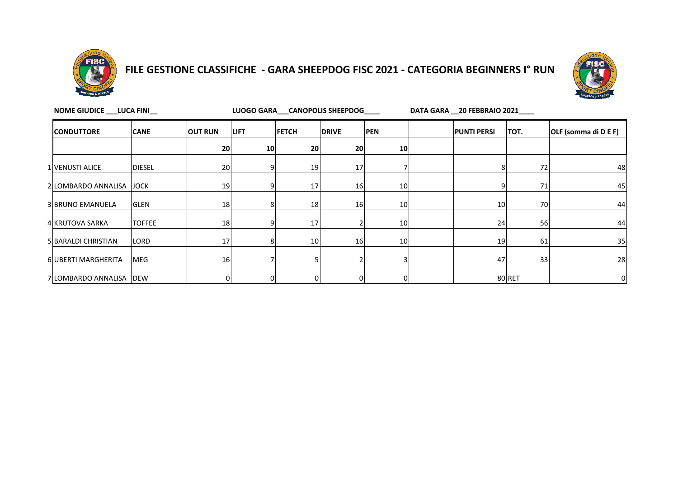

# **FILE GESTIONE CLASSIFICHE - GARA SHEEPDOG FISC 2021 - CATEGORIA BEGINNERS I° RUN**



| NOME GIUDICE ___ LUCA FINI__ | DATA GARA 20 FEBBRAIO 2021 |                |             |              |              |            |                    |          |                      |
|------------------------------|----------------------------|----------------|-------------|--------------|--------------|------------|--------------------|----------|----------------------|
| <b>CONDUTTORE</b>            | <b>CANE</b>                | <b>OUT RUN</b> | <b>LIFT</b> | <b>FETCH</b> | <b>DRIVE</b> | <b>PEN</b> | <b>PUNTI PERSI</b> | TOT.     | OLF (somma di D E F) |
|                              |                            | 20             | 10          | 20           | 20           | 10         |                    |          |                      |
| 1 VENUSTI ALICE              | <b>DIESEL</b>              | 20             |             | 19           | 17           |            |                    | 72       | 48                   |
| 2 LOMBARDO ANNALISA          | <b>JOCK</b>                | 19             |             | 17           | 16           | 10         |                    | 71       | 45                   |
| 3 BRUNO EMANUELA             | <b>GLEN</b>                | 18             |             | 18           | 16           | 10         |                    | 10<br>70 | 44                   |
| 4 KRUTOVA SARKA              | <b>TOFFEE</b>              | 18             |             | 17           |              | 10         |                    | 24<br>56 | 44                   |
| 5 BARALDI CHRISTIAN          | LORD                       | 17             |             | 10           | 16           | 10         |                    | 19<br>61 | 35                   |
| 6 UBERTI MARGHERITA          | <b>MEG</b>                 | 16             |             |              |              | 3          |                    | 33<br>47 | 28                   |
| 7 LOMBARDO ANNALISA          | <b>DEW</b>                 |                |             |              |              | 0          |                    | 80 RET   | 0                    |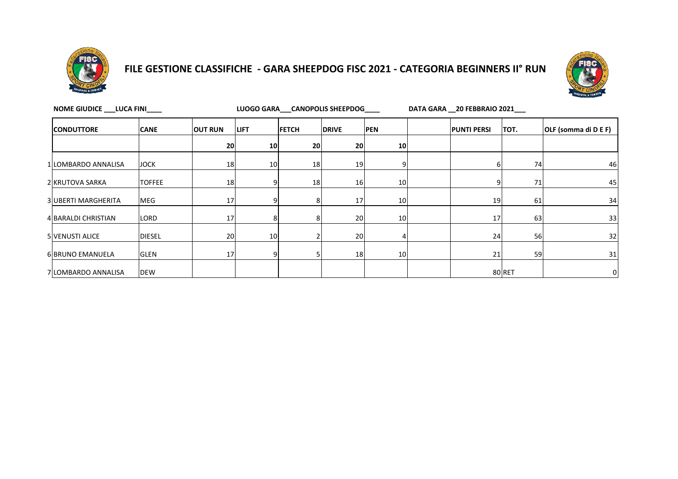

### **FILE GESTIONE CLASSIFICHE - GARA SHEEPDOG FISC 2021 - CATEGORIA BEGINNERS II° RUN**



| <b>CONDUTTORE</b>      | <b>CANE</b>   | <b>OUT RUN</b>  | <b>LIFT</b>     | <b>FETCH</b> | <b>DRIVE</b> | <b>PEN</b> | <b>PUNTI PERSI</b> | TOT.   | OLF (somma di D E F) |
|------------------------|---------------|-----------------|-----------------|--------------|--------------|------------|--------------------|--------|----------------------|
|                        |               | 20 <sub>l</sub> | 10 <sup>1</sup> | 20           | 20           | 10         |                    |        |                      |
| 1 LOMBARDO ANNALISA    | <b>JOCK</b>   | 18              | 10              | 18           | 19           | 9          |                    | 74     | 46                   |
| 2 KRUTOVA SARKA        | <b>TOFFEE</b> | 18              | 9               | 18           | 16           | 10         |                    | 71     | 45                   |
| 3 UBERTI MARGHERITA    | <b>MEG</b>    | 17              |                 |              | 17           | 10         | 19                 | 61     | 34                   |
| 4 BARALDI CHRISTIAN    | LORD          | 17              | 8               |              | 20           | 10         | 17                 | 63     | 33                   |
| <b>5 VENUSTI ALICE</b> | <b>DIESEL</b> | 20              | 10 <sup>1</sup> |              | 20           |            | 24                 | 56     | 32                   |
| 6 BRUNO EMANUELA       | <b>GLEN</b>   | 17              | 9               |              | 18           | 10         | 21                 | 59     | 31                   |
| 7 LOMBARDO ANNALISA    | <b>DEW</b>    |                 |                 |              |              |            |                    | 80 RET | 0                    |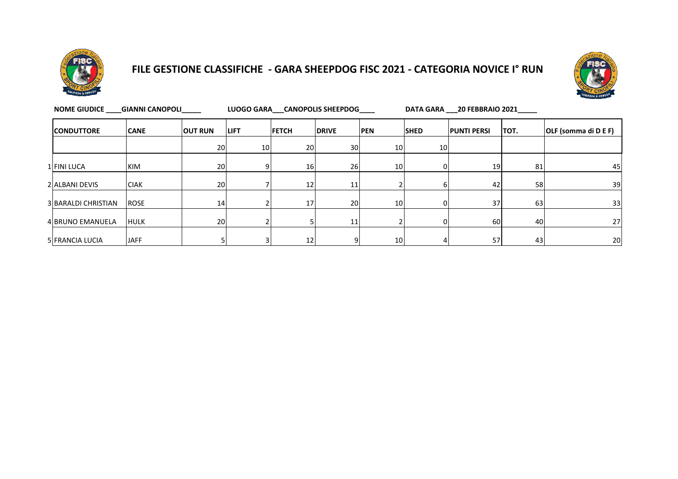

## **FILE GESTIONE CLASSIFICHE - GARA SHEEPDOG FISC 2021 - CATEGORIA NOVICE I° RUN**



| <b>NOME GIUDICE</b>        | <b>GIANNI CANOPOLI</b> |                |             |                 | LUOGO GARA CANOPOLIS SHEEPDOG |            | DATA GARA 20 FEBBRAIO 2021 |                    |      |                      |  |
|----------------------------|------------------------|----------------|-------------|-----------------|-------------------------------|------------|----------------------------|--------------------|------|----------------------|--|
| <b>CONDUTTORE</b>          | <b>CANE</b>            | <b>OUT RUN</b> | <b>LIFT</b> | <b>FETCH</b>    | <b>DRIVE</b>                  | <b>PEN</b> | <b>SHED</b>                | <b>PUNTI PERSI</b> | TOT. | OLF (somma di D E F) |  |
|                            |                        | 20             | 10          | 20              | 30                            | 10         | 10 <sup>1</sup>            |                    |      |                      |  |
| 1 FINI LUCA                | <b>KIM</b>             | 20             | 9           | 16 <sup>1</sup> | <b>26</b>                     | 10         | 01                         | 19                 | 81   | 45                   |  |
| 2 ALBANI DEVIS             | <b>CIAK</b>            | 20             |             | 12              | 11                            |            |                            | 42                 | 58   | 39                   |  |
| <b>3 BARALDI CHRISTIAN</b> | <b>ROSE</b>            | 14             |             | 17              | 20                            | 10         | ΩI                         | 37                 | 63   | 33                   |  |
| <b>4 BRUNO EMANUELA</b>    | <b>HULK</b>            | 20             |             |                 | 11                            |            |                            | 60                 | 40   | 27                   |  |
| <b>5 FRANCIA LUCIA</b>     | <b>JAFF</b>            |                |             | 12 <sub>1</sub> | 9                             | 10         |                            | 57                 | 43   | 20                   |  |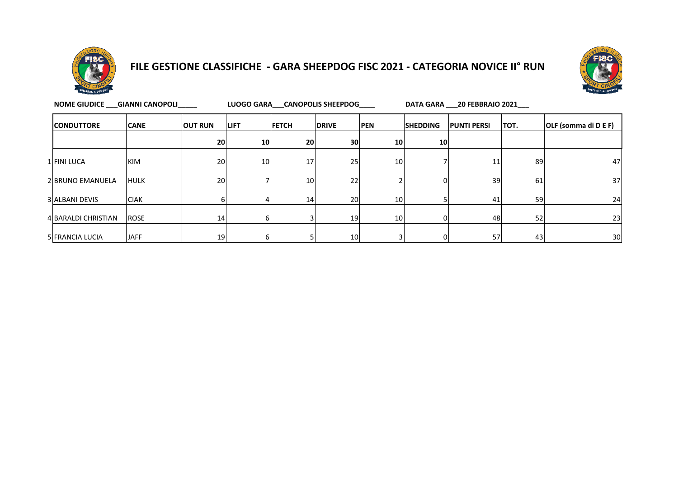

### **FILE GESTIONE CLASSIFICHE - GARA SHEEPDOG FISC 2021 - CATEGORIA NOVICE II° RUN**



| NOME GIUDICE GIANNI CANOPOLI |             |                |             |              | LUOGO GARA CANOPOLIS SHEEPDOG |                 | DATA GARA 20 FEBBRAIO 2021 |                    |      |                      |  |
|------------------------------|-------------|----------------|-------------|--------------|-------------------------------|-----------------|----------------------------|--------------------|------|----------------------|--|
| <b>CONDUTTORE</b>            | <b>CANE</b> | <b>OUT RUN</b> | <b>LIFT</b> | <b>FETCH</b> | <b>DRIVE</b>                  | <b>PEN</b>      | <b>SHEDDING</b>            | <b>PUNTI PERSI</b> | TOT. | OLF (somma di D E F) |  |
|                              |             | 20             | 10          | 20           | 30 <sub>l</sub>               | 10              | 10 <sub>l</sub>            |                    |      |                      |  |
| 1 FINI LUCA                  | KIM         | 20             | 10          | 17           | 25                            | 10 <sub>1</sub> |                            | 11                 | 89   | 47                   |  |
| 2 BRUNO EMANUELA             | <b>HULK</b> | 20             |             | 10           | 22                            |                 |                            | 39                 | 61   | 37                   |  |
| 3 ALBANI DEVIS               | <b>CIAK</b> |                | 4           | 14           | 20                            | 10              |                            | 41                 | 59   | 24                   |  |
| 4 BARALDI CHRISTIAN          | <b>ROSE</b> | 14             | 6           |              | 19                            | 10              |                            | 48                 | 52   | 23                   |  |
| 5 FRANCIA LUCIA              | <b>JAFF</b> | 19             | 6           |              | 10 <sub>l</sub>               |                 |                            | 57                 | 43   | 30                   |  |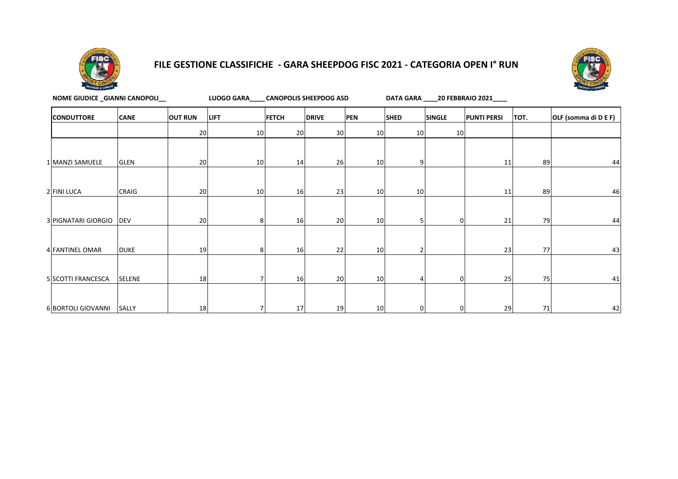

#### **FILE GESTIONE CLASSIFICHE - GARA SHEEPDOG FISC 2021 - CATEGORIA OPEN I° RUN**



| NOME GIUDICE _GIANNI CANOPOLI_ |               |                | LUOGO GARA____ CANOPOLIS SHEEPDOG ASD | DATA GARA _____ 20 FEBBRAIO 2021____ |              |                 |             |                |                    |           |                      |
|--------------------------------|---------------|----------------|---------------------------------------|--------------------------------------|--------------|-----------------|-------------|----------------|--------------------|-----------|----------------------|
| <b>CONDUTTORE</b>              | <b>CANE</b>   | <b>OUT RUN</b> | <b>LIFT</b>                           | <b>FETCH</b>                         | <b>DRIVE</b> | <b>PEN</b>      | <b>SHED</b> | <b>SINGLE</b>  | <b>PUNTI PERSI</b> | TOT.      | OLF (somma di D E F) |
|                                |               | 20             | 10                                    | 20                                   | 30           | 10 <sup>1</sup> | 10          | 10             |                    |           |                      |
| 1 MANZI SAMUELE                | <b>GLEN</b>   | 20             | 10                                    | 14                                   | 26           | 10 <sup>1</sup> | 9           |                | 11                 | 89        | 44                   |
| 2 FINI LUCA                    | CRAIG         | 20             | 10 <sup>1</sup>                       | 16                                   | 23           | 10              | 10          |                | 11                 | 89        | 46                   |
| 3 PIGNATARI GIORGIO            | <b>DEV</b>    | 20             | 8                                     | 16                                   | 20           | 10 <sup>1</sup> |             | $\mathbf 0$    | 21                 | 79        | 44                   |
| 4 FANTINEL OMAR                | <b>DUKE</b>   | 19             | 8                                     | 16                                   | 22           | 10 <sup>1</sup> |             |                | 23                 | <b>77</b> | 43                   |
| 5 SCOTTI FRANCESCA             | <b>SELENE</b> | 18             |                                       | 16                                   | 20           | 10 <sup>1</sup> |             | $\overline{0}$ | 25                 | 75        | 41                   |
| 6 BORTOLI GIOVANNI             | SALLY         | 18             |                                       | 17                                   | 19           | 10 <sup>1</sup> |             | $\overline{0}$ | 29                 | 71        | 42                   |